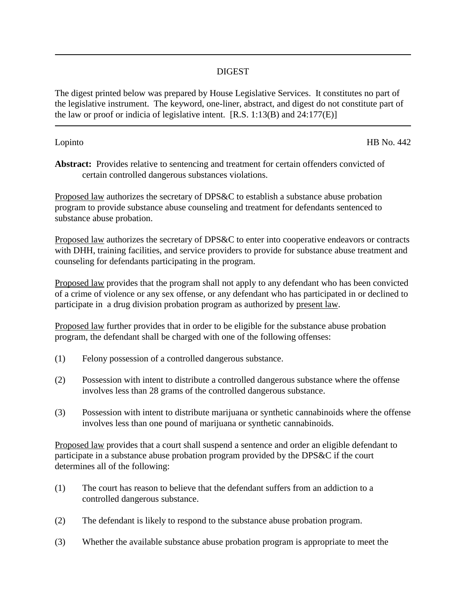## DIGEST

The digest printed below was prepared by House Legislative Services. It constitutes no part of the legislative instrument. The keyword, one-liner, abstract, and digest do not constitute part of the law or proof or indicia of legislative intent.  $[R.S. 1:13(B)$  and  $24:177(E)$ 

Lopinto HB No. 442

**Abstract:** Provides relative to sentencing and treatment for certain offenders convicted of certain controlled dangerous substances violations.

Proposed law authorizes the secretary of DPS&C to establish a substance abuse probation program to provide substance abuse counseling and treatment for defendants sentenced to substance abuse probation.

Proposed law authorizes the secretary of DPS&C to enter into cooperative endeavors or contracts with DHH, training facilities, and service providers to provide for substance abuse treatment and counseling for defendants participating in the program.

Proposed law provides that the program shall not apply to any defendant who has been convicted of a crime of violence or any sex offense, or any defendant who has participated in or declined to participate in a drug division probation program as authorized by present law.

Proposed law further provides that in order to be eligible for the substance abuse probation program, the defendant shall be charged with one of the following offenses:

- (1) Felony possession of a controlled dangerous substance.
- (2) Possession with intent to distribute a controlled dangerous substance where the offense involves less than 28 grams of the controlled dangerous substance.
- (3) Possession with intent to distribute marijuana or synthetic cannabinoids where the offense involves less than one pound of marijuana or synthetic cannabinoids.

Proposed law provides that a court shall suspend a sentence and order an eligible defendant to participate in a substance abuse probation program provided by the DPS&C if the court determines all of the following:

- (1) The court has reason to believe that the defendant suffers from an addiction to a controlled dangerous substance.
- (2) The defendant is likely to respond to the substance abuse probation program.
- (3) Whether the available substance abuse probation program is appropriate to meet the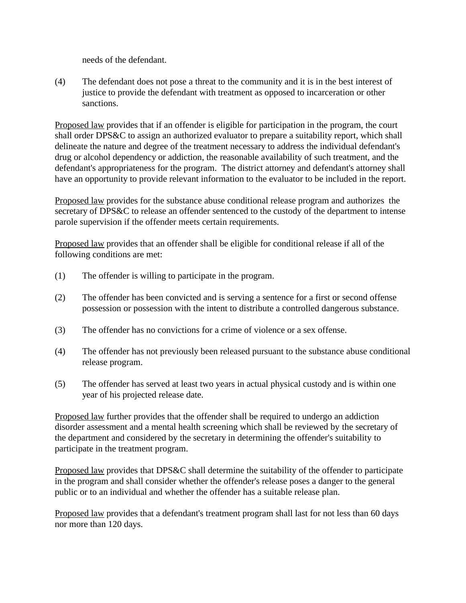needs of the defendant.

(4) The defendant does not pose a threat to the community and it is in the best interest of justice to provide the defendant with treatment as opposed to incarceration or other sanctions.

Proposed law provides that if an offender is eligible for participation in the program, the court shall order DPS&C to assign an authorized evaluator to prepare a suitability report, which shall delineate the nature and degree of the treatment necessary to address the individual defendant's drug or alcohol dependency or addiction, the reasonable availability of such treatment, and the defendant's appropriateness for the program. The district attorney and defendant's attorney shall have an opportunity to provide relevant information to the evaluator to be included in the report.

Proposed law provides for the substance abuse conditional release program and authorizes the secretary of DPS&C to release an offender sentenced to the custody of the department to intense parole supervision if the offender meets certain requirements.

Proposed law provides that an offender shall be eligible for conditional release if all of the following conditions are met:

- (1) The offender is willing to participate in the program.
- (2) The offender has been convicted and is serving a sentence for a first or second offense possession or possession with the intent to distribute a controlled dangerous substance.
- (3) The offender has no convictions for a crime of violence or a sex offense.
- (4) The offender has not previously been released pursuant to the substance abuse conditional release program.
- (5) The offender has served at least two years in actual physical custody and is within one year of his projected release date.

Proposed law further provides that the offender shall be required to undergo an addiction disorder assessment and a mental health screening which shall be reviewed by the secretary of the department and considered by the secretary in determining the offender's suitability to participate in the treatment program.

Proposed law provides that DPS&C shall determine the suitability of the offender to participate in the program and shall consider whether the offender's release poses a danger to the general public or to an individual and whether the offender has a suitable release plan.

Proposed law provides that a defendant's treatment program shall last for not less than 60 days nor more than 120 days.